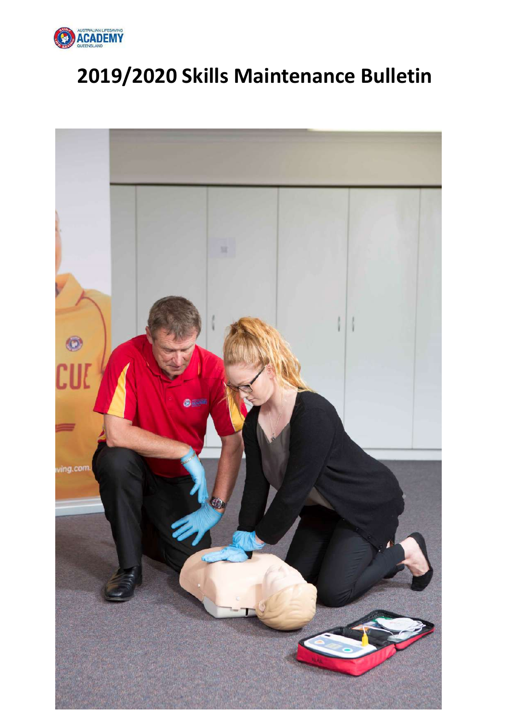

# **2019/2020 Skills Maintenance Bulletin**

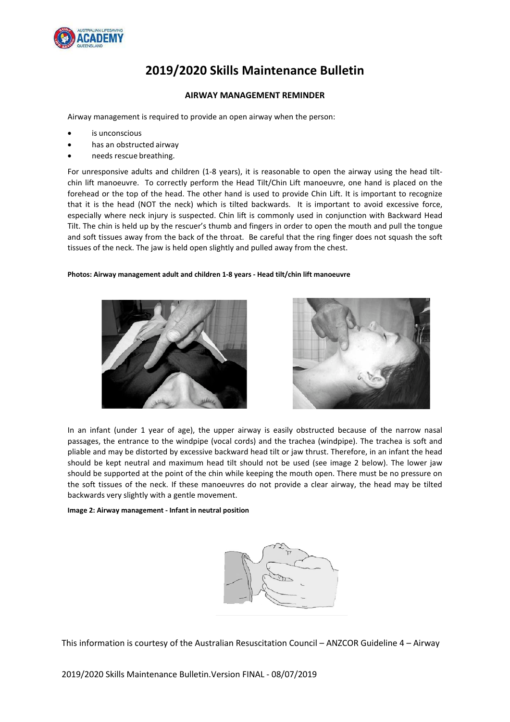

# **2019/2020 Skills Maintenance Bulletin**

### **AIRWAY MANAGEMENT REMINDER**

Airway management is required to provide an open airway when the person:

- is unconscious
- has an obstructed airway
- needs rescue breathing.

For unresponsive adults and children (1-8 years), it is reasonable to open the airway using the head tiltchin lift manoeuvre. To correctly perform the Head Tilt/Chin Lift manoeuvre, one hand is placed on the forehead or the top of the head. The other hand is used to provide Chin Lift. It is important to recognize that it is the head (NOT the neck) which is tilted backwards. It is important to avoid excessive force, especially where neck injury is suspected. Chin lift is commonly used in conjunction with Backward Head Tilt. The chin is held up by the rescuer's thumb and fingers in order to open the mouth and pull the tongue and soft tissues away from the back of the throat. Be careful that the ring finger does not squash the soft tissues of the neck. The jaw is held open slightly and pulled away from the chest.

#### **Photos: Airway management adult and children 1-8 years - Head tilt/chin lift manoeuvre**





In an infant (under 1 year of age), the upper airway is easily obstructed because of the narrow nasal passages, the entrance to the windpipe (vocal cords) and the trachea (windpipe). The trachea is soft and pliable and may be distorted by excessive backward head tilt or jaw thrust. Therefore, in an infant the head should be kept neutral and maximum head tilt should not be used (see image 2 below). The lower jaw should be supported at the point of the chin while keeping the mouth open. There must be no pressure on the soft tissues of the neck. If these manoeuvres do not provide a clear airway, the head may be tilted backwards very slightly with a gentle movement.

#### **Image 2: Airway management - Infant in neutral position**



This information is courtesy of the Australian Resuscitation Council – ANZCOR Guideline 4 – Airway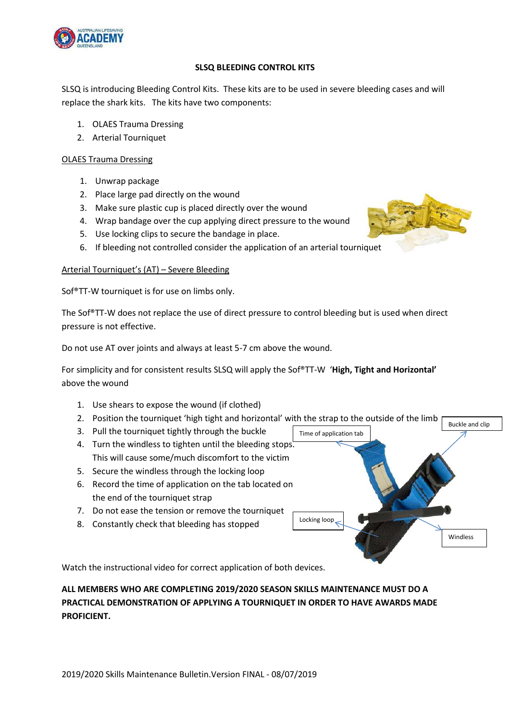

## **SLSQ BLEEDING CONTROL KITS**

SLSQ is introducing Bleeding Control Kits. These kits are to be used in severe bleeding cases and will replace the shark kits. The kits have two components:

- 1. OLAES Trauma Dressing
- 2. Arterial Tourniquet

# OLAES Trauma Dressing

- 1. Unwrap package
- 2. Place large pad directly on the wound
- 3. Make sure plastic cup is placed directly over the wound
- 4. Wrap bandage over the cup applying direct pressure to the wound
- 5. Use locking clips to secure the bandage in place.
- 6. If bleeding not controlled consider the application of an arterial tourniquet

# Arterial Tourniquet's (AT) – Severe Bleeding

Sof®TT-W tourniquet is for use on limbs only.

The Sof®TT-W does not replace the use of direct pressure to control bleeding but is used when direct pressure is not effective.

Do not use AT over joints and always at least 5-7 cm above the wound.

For simplicity and for consistent results SLSQ will apply the Sof®TT-W '**High, Tight and Horizontal'** above the wound

- 1. Use shears to expose the wound (if clothed)
- 2. Position the tourniquet 'high tight and horizontal' with the strap to the outside of the limb

Time of application tab

Locking loop

- 3. Pull the tourniquet tightly through the buckle
- 4. Turn the windless to tighten until the bleeding stops. This will cause some/much discomfort to the victim
- 5. Secure the windless through the locking loop
- 6. Record the time of application on the tab located on the end of the tourniquet strap
- 7. Do not ease the tension or remove the tourniquet
- 8. Constantly check that bleeding has stopped



Windless

Buckle and clip

Watch the instructional video for correct application of both devices.

# **ALL MEMBERS WHO ARE COMPLETING 2019/2020 SEASON SKILLS MAINTENANCE MUST DO A PRACTICAL DEMONSTRATION OF APPLYING A TOURNIQUET IN ORDER TO HAVE AWARDS MADE PROFICIENT.**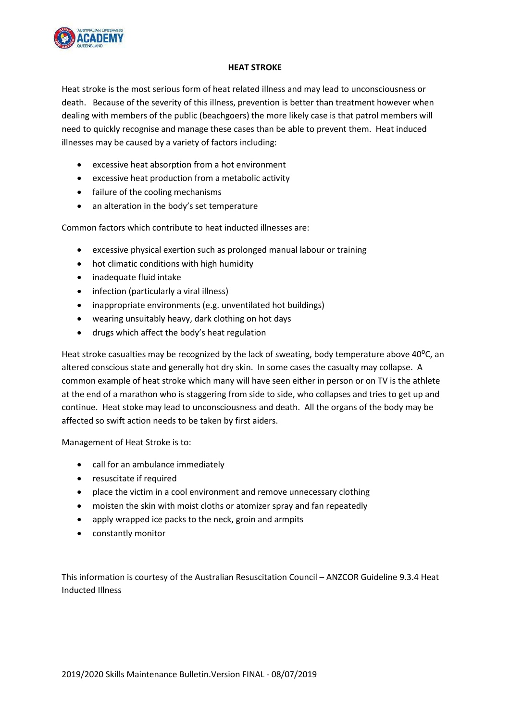

## **HEAT STROKE**

Heat stroke is the most serious form of heat related illness and may lead to unconsciousness or death. Because of the severity of this illness, prevention is better than treatment however when dealing with members of the public (beachgoers) the more likely case is that patrol members will need to quickly recognise and manage these cases than be able to prevent them. Heat induced illnesses may be caused by a variety of factors including:

- excessive heat absorption from a hot environment
- excessive heat production from a metabolic activity
- failure of the cooling mechanisms
- an alteration in the body's set temperature

Common factors which contribute to heat inducted illnesses are:

- excessive physical exertion such as prolonged manual labour or training
- hot climatic conditions with high humidity
- inadequate fluid intake
- infection (particularly a viral illness)
- inappropriate environments (e.g. unventilated hot buildings)
- wearing unsuitably heavy, dark clothing on hot days
- drugs which affect the body's heat regulation

Heat stroke casualties may be recognized by the lack of sweating, body temperature above 40 $^{\circ}$ C, an altered conscious state and generally hot dry skin. In some cases the casualty may collapse. A common example of heat stroke which many will have seen either in person or on TV is the athlete at the end of a marathon who is staggering from side to side, who collapses and tries to get up and continue. Heat stoke may lead to unconsciousness and death. All the organs of the body may be affected so swift action needs to be taken by first aiders.

Management of Heat Stroke is to:

- call for an ambulance immediately
- resuscitate if required
- place the victim in a cool environment and remove unnecessary clothing
- moisten the skin with moist cloths or atomizer spray and fan repeatedly
- apply wrapped ice packs to the neck, groin and armpits
- constantly monitor

This information is courtesy of the Australian Resuscitation Council – ANZCOR Guideline 9.3.4 Heat Inducted Illness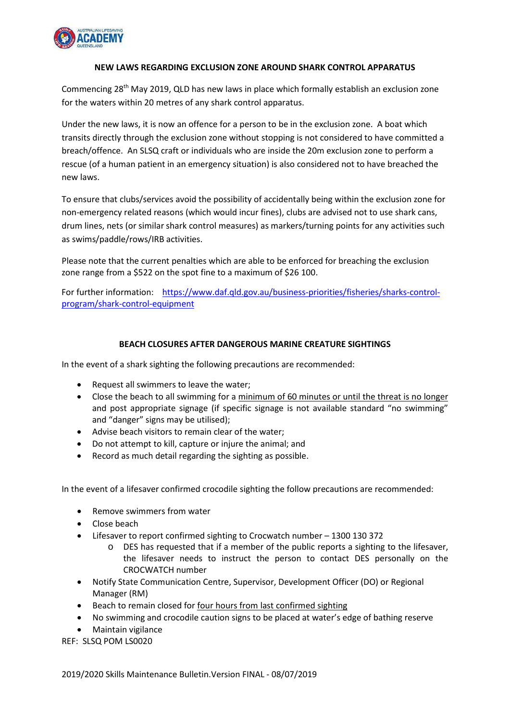

## **NEW LAWS REGARDING EXCLUSION ZONE AROUND SHARK CONTROL APPARATUS**

Commencing 28<sup>th</sup> May 2019, QLD has new laws in place which formally establish an exclusion zone for the waters within 20 metres of any shark control apparatus.

Under the new laws, it is now an offence for a person to be in the exclusion zone. A boat which transits directly through the exclusion zone without stopping is not considered to have committed a breach/offence. An SLSQ craft or individuals who are inside the 20m exclusion zone to perform a rescue (of a human patient in an emergency situation) is also considered not to have breached the new laws.

To ensure that clubs/services avoid the possibility of accidentally being within the exclusion zone for non-emergency related reasons (which would incur fines), clubs are advised not to use shark cans, drum lines, nets (or similar shark control measures) as markers/turning points for any activities such as swims/paddle/rows/IRB activities.

Please note that the current penalties which are able to be enforced for breaching the exclusion zone range from a \$522 on the spot fine to a maximum of \$26 100.

For further information: [https://www.daf.qld.gov.au/business-priorities/fisheries/sharks-control](https://www.daf.qld.gov.au/business-priorities/fisheries/sharks-control-program/shark-control-equipment)[program/shark-control-equipment](https://www.daf.qld.gov.au/business-priorities/fisheries/sharks-control-program/shark-control-equipment)

## **BEACH CLOSURES AFTER DANGEROUS MARINE CREATURE SIGHTINGS**

In the event of a shark sighting the following precautions are recommended:

- Request all swimmers to leave the water;
- Close the beach to all swimming for a minimum of 60 minutes or until the threat is no longer and post appropriate signage (if specific signage is not available standard "no swimming" and "danger" signs may be utilised);
- Advise beach visitors to remain clear of the water;
- Do not attempt to kill, capture or injure the animal; and
- Record as much detail regarding the sighting as possible.

In the event of a lifesaver confirmed crocodile sighting the follow precautions are recommended:

- Remove swimmers from water
- Close beach
- Lifesaver to report confirmed sighting to Crocwatch number 1300 130 372
	- o DES has requested that if a member of the public reports a sighting to the lifesaver, the lifesaver needs to instruct the person to contact DES personally on the CROCWATCH number
- Notify State Communication Centre, Supervisor, Development Officer (DO) or Regional Manager (RM)
- Beach to remain closed for four hours from last confirmed sighting
- No swimming and crocodile caution signs to be placed at water's edge of bathing reserve
- Maintain vigilance
- REF: SLSQ POM LS0020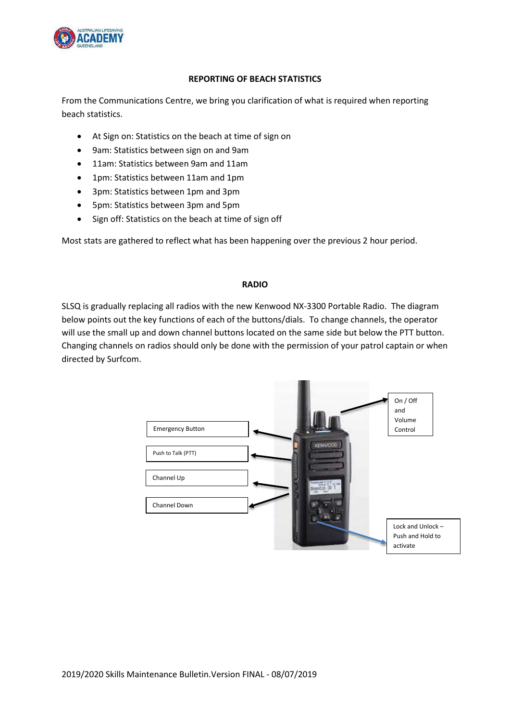

# **REPORTING OF BEACH STATISTICS**

From the Communications Centre, we bring you clarification of what is required when reporting beach statistics.

- At Sign on: Statistics on the beach at time of sign on
- 9am: Statistics between sign on and 9am
- 11am: Statistics between 9am and 11am
- 1pm: Statistics between 11am and 1pm
- 3pm: Statistics between 1pm and 3pm
- 5pm: Statistics between 3pm and 5pm
- Sign off: Statistics on the beach at time of sign off

Most stats are gathered to reflect what has been happening over the previous 2 hour period.

## **RADIO**

SLSQ is gradually replacing all radios with the new Kenwood NX-3300 Portable Radio. The diagram below points out the key functions of each of the buttons/dials. To change channels, the operator will use the small up and down channel buttons located on the same side but below the PTT button. Changing channels on radios should only be done with the permission of your patrol captain or when directed by Surfcom.